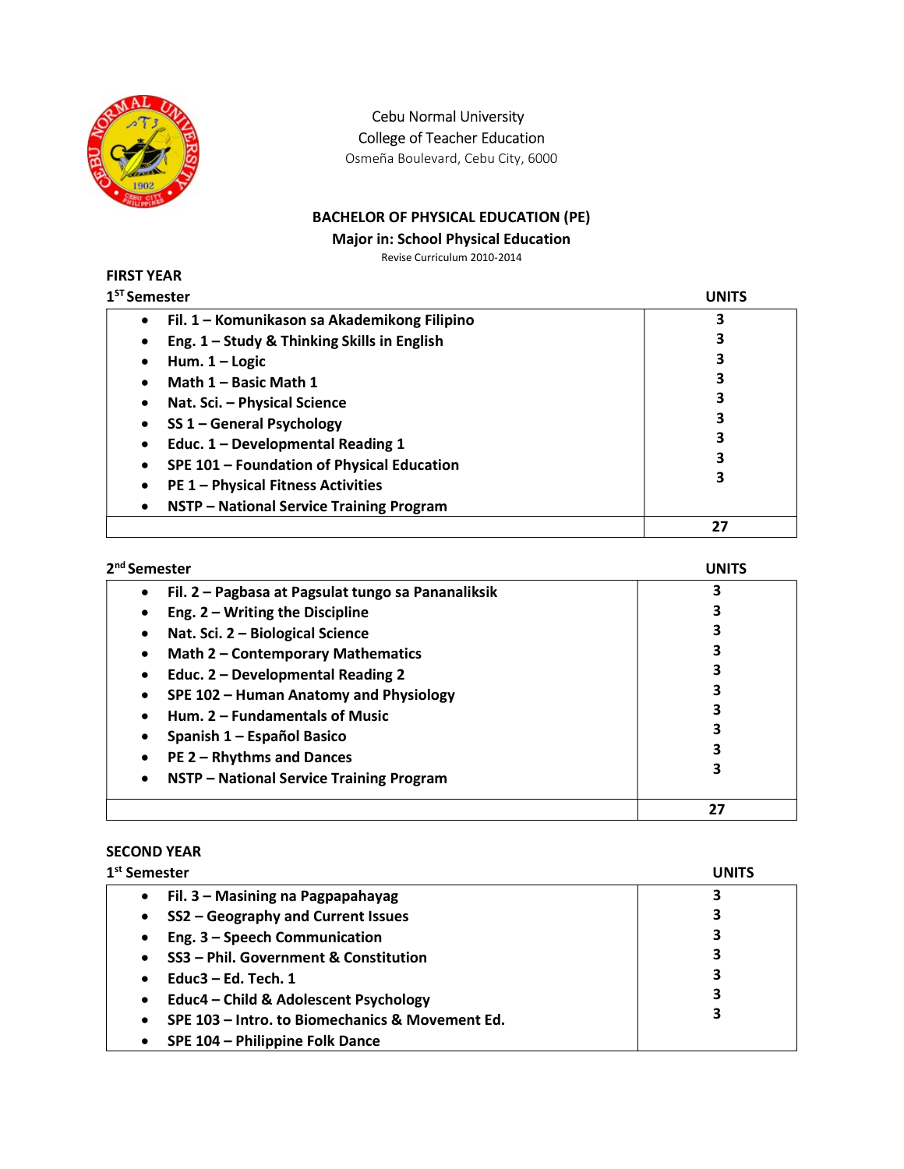

Cebu Normal University

College of Teacher Education

Osmeña Boulevard, Cebu City, 6000

# BACHELOR OF PHYSICAL EDUCATION (PE)

Major in: School Physical Education

Revise Curriculum 2010-2014

#### FIRST YEAR  $1<sup>ST</sup>$

| <sup>st</sup> Semester                                | UNITS |
|-------------------------------------------------------|-------|
| Fil. 1 – Komunikason sa Akademikong Filipino          | 3     |
| Eng. 1 - Study & Thinking Skills in English           |       |
| Hum. $1 -$ Logic                                      |       |
| Math 1 - Basic Math 1                                 |       |
| Nat. Sci. - Physical Science                          |       |
| SS 1 - General Psychology                             | 3     |
| Educ. 1 - Developmental Reading 1                     | 3     |
| SPE 101 - Foundation of Physical Education            |       |
| <b>PE 1 - Physical Fitness Activities</b>             | 3     |
| NSTP - National Service Training Program<br>$\bullet$ |       |
|                                                       | 27    |

| 2 <sup>nd</sup> Semester                                        | UNITS |
|-----------------------------------------------------------------|-------|
| Fil. 2 - Pagbasa at Pagsulat tungo sa Pananaliksik<br>$\bullet$ | 3     |
| Eng. $2 - W$ riting the Discipline<br>$\bullet$                 |       |
| Nat. Sci. 2 - Biological Science<br>$\bullet$                   |       |
| Math 2 - Contemporary Mathematics<br>$\bullet$                  |       |
| Educ. 2 - Developmental Reading 2<br>$\bullet$                  |       |
| SPE 102 - Human Anatomy and Physiology<br>$\bullet$             |       |
| Hum. 2 – Fundamentals of Music<br>$\bullet$                     |       |
| Spanish 1 – Español Basico<br>٠                                 |       |
| <b>PE 2 - Rhythms and Dances</b><br>$\bullet$                   |       |
| NSTP - National Service Training Program<br>$\bullet$           |       |
|                                                                 | 27    |

## SECOND YEAR

| 1 <sup>st</sup> Semester                                     | <b>UNITS</b> |
|--------------------------------------------------------------|--------------|
| Fil. 3 – Masining na Pagpapahayag<br>$\bullet$               | 3            |
| SS2 - Geography and Current Issues<br>$\bullet$              | 3            |
| Eng. 3 - Speech Communication<br>$\bullet$                   | 3            |
| SS3 - Phil. Government & Constitution<br>$\bullet$           | 3            |
| Educ $3$ – Ed. Tech. 1<br>$\bullet$                          | 3            |
| Educ4 - Child & Adolescent Psychology<br>$\bullet$           | 3            |
| SPE 103 - Intro. to Biomechanics & Movement Ed.<br>$\bullet$ | 3            |
| SPE 104 - Philippine Folk Dance<br>$\bullet$                 |              |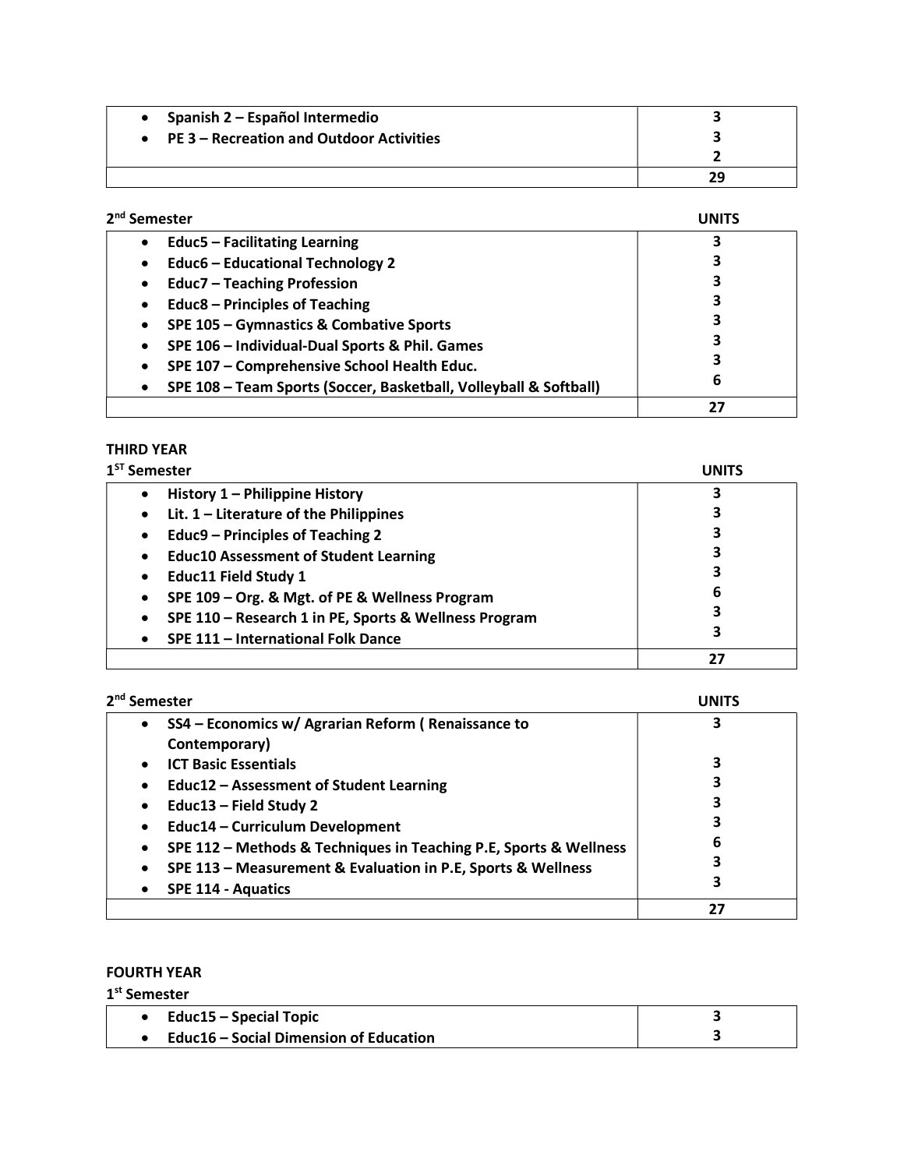| • Spanish $2$ – Español Intermedio                 |    |
|----------------------------------------------------|----|
| $\bullet$ PE 3 – Recreation and Outdoor Activities |    |
|                                                    |    |
|                                                    | 29 |

| 2 <sup>nd</sup> Semester                                                       | JNITS |
|--------------------------------------------------------------------------------|-------|
| <b>Educ5 - Facilitating Learning</b><br>$\bullet$                              | 3     |
| <b>Educ6 - Educational Technology 2</b><br>$\bullet$                           | 3     |
| <b>Educ7 - Teaching Profession</b><br>$\bullet$                                | 3     |
| <b>Educ8 - Principles of Teaching</b><br>$\bullet$                             | 3     |
| SPE 105 - Gymnastics & Combative Sports<br>$\bullet$                           | З     |
| SPE 106 - Individual-Dual Sports & Phil. Games<br>$\bullet$                    | 3     |
| SPE 107 - Comprehensive School Health Educ.<br>$\bullet$                       | 3     |
| SPE 108 - Team Sports (Soccer, Basketball, Volleyball & Softball)<br>$\bullet$ | 6     |
|                                                                                | 27    |

# THIRD YEAR

| 1 <sup>ST</sup> Semester                                    | UNITS |
|-------------------------------------------------------------|-------|
| History 1 - Philippine History                              | 3     |
| Lit. $1$ – Literature of the Philippines<br>$\bullet$       |       |
| Educ9 - Principles of Teaching 2<br>٠                       | 3     |
| <b>Educ10 Assessment of Student Learning</b><br>$\bullet$   |       |
| <b>Educ11 Field Study 1</b>                                 | 3     |
| SPE 109 - Org. & Mgt. of PE & Wellness Program<br>$\bullet$ | 6     |
| SPE 110 - Research 1 in PE, Sports & Wellness Program       | 3     |
| SPE 111 - International Folk Dance                          | 3     |
|                                                             | 27    |

| 2 <sup>nd</sup> Semester                                                       | UNITS |
|--------------------------------------------------------------------------------|-------|
| SS4 – Economics w/ Agrarian Reform (Renaissance to<br>$\bullet$                | 3     |
| Contemporary)                                                                  |       |
| <b>ICT Basic Essentials</b>                                                    |       |
| Educ12 - Assessment of Student Learning<br>$\bullet$                           |       |
| Educ13 - Field Study 2<br>$\bullet$                                            |       |
| Educ14 - Curriculum Development<br>$\bullet$                                   |       |
| SPE 112 - Methods & Techniques in Teaching P.E, Sports & Wellness<br>$\bullet$ | 6     |
| SPE 113 - Measurement & Evaluation in P.E, Sports & Wellness<br>٠              |       |
| <b>SPE 114 - Aquatics</b>                                                      | 3     |
|                                                                                | 27    |

### FOURTH YEAR

1<sup>st</sup> Semester

| Educ15 – Special Topic                        |  |
|-----------------------------------------------|--|
| <b>Educ16 – Social Dimension of Education</b> |  |